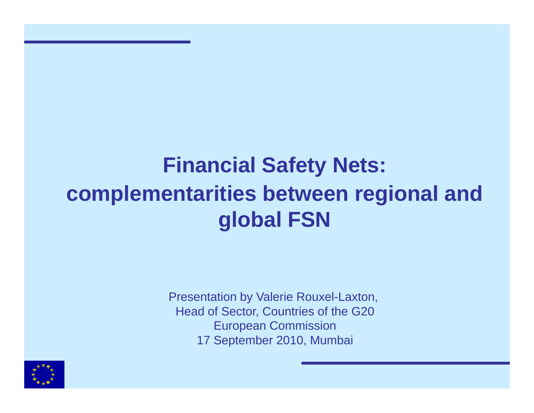# **Financial Safety Nets: complementarities between regional and global FSN**

Presentation by Valerie Rouxel-Laxton, Head of Sector, Countries of the G20 European Commission 17 September 2010, Mumbai

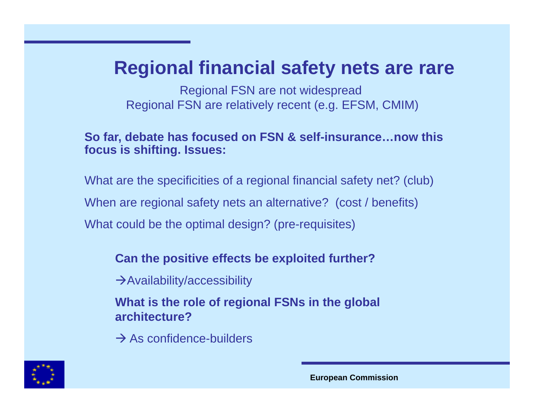### **Regional financial safety nets are rare**

Regional FSN are not widespread Regional FSN are relatively recent (e.g. EFSM, CMIM)

#### **So far, debate has focused on FSN & self-insurance…now this focus is shifting. Issues:**

What are the specificities of a regional financial safety net? (club) When are regional safety nets an alternative? (cost / benefits) What could be the optimal design? (pre-requisites)

#### **Can the positive effects be exploited further?**

 $\rightarrow$  Availability/accessibility

**What is the role of regional FSNs in the global architecture?**

 $\rightarrow$  As confidence-builders

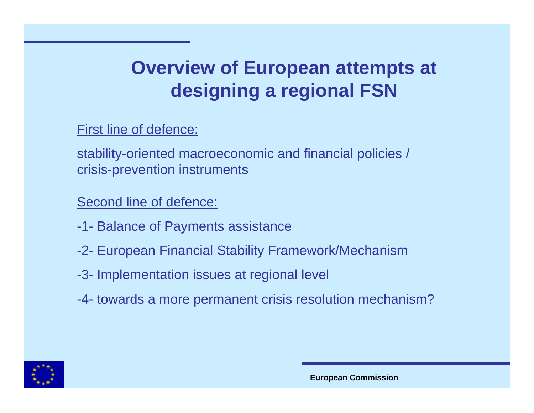# **Overview of European attempts at designing a regional FSN**

First line of defence:

stability-oriented macroeconomic and financial policies / crisis-prevention instruments

Second line of defence:

- -1- Balance of Payments assistance
- -2- European Financial Stability Framework/Mechanism
- -3- Implementation issues at regional level
- -4- towards a more permanent crisis resolution mechanism?

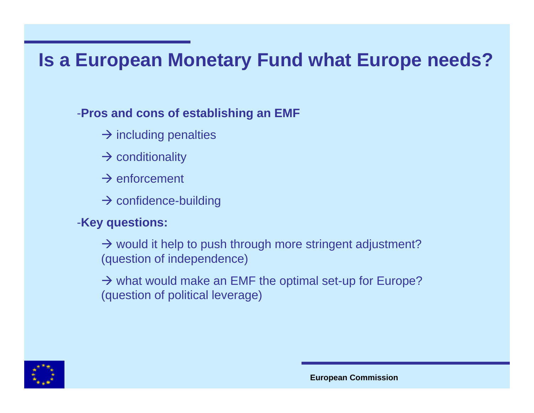### **Is a European Monetary Fund what Europe needs?**

#### -**Pros and cons of establishing an EMF**

- $\rightarrow$  including penalties
- $\rightarrow$  conditionality
- $\rightarrow$  enforcement
- $\rightarrow$  confidence-building

#### -**Key questions:**

 $\rightarrow$  would it help to push through more stringent adjustment? (question of independence)

 $\rightarrow$  what would make an EMF the optimal set-up for Europe? (question of political leverage)



**European Commission**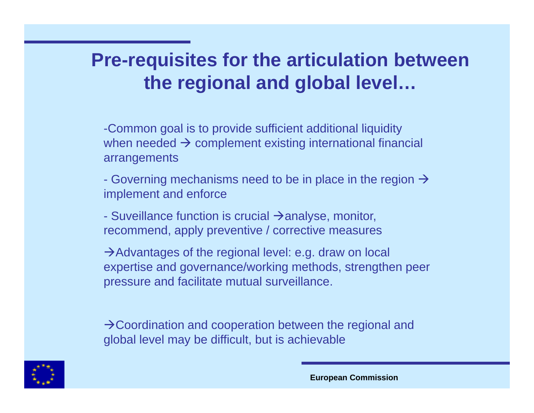# **Pre-requisites for the articulation between th i l d l b l l l the regional an d glo al level…**

-Common goal is to provide sufficient additional liquidity when needed  $\boldsymbol{\rightarrow}$  complement existing international financial arrangements

- Governing mechanisms need to be in place in the region  $\rightarrow$ implement and enforce

- Suveillance function is crucial  $\rightarrow$ analyse, monitor, recommend, apply preventive / corrective measures

 $\rightarrow$  Advantages of the regional level: e.g. draw on local expertise and governance/working methods, strengthen peer pressure and facilitate mutual surveillance.

 $\rightarrow$  Coordination and cooperation between the regional and global level may be difficult, but is achievable

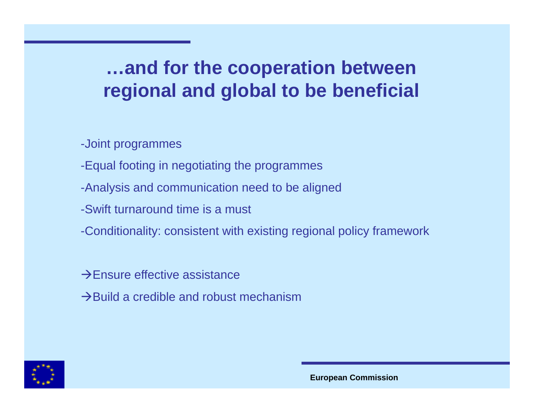# **…and for the cooperation between regional and global to be beneficial**

-Joint programmes

- -Equal footing in negotiating the programmes
- -Analysis and communication need to be aligned
- -Swift turnaround time is a must
- -Conditionality: consistent with existing regional policy framework

 $\rightarrow$  Ensure effective assistance

 $\rightarrow$ Build a credible and robust mechanism



**European Commission**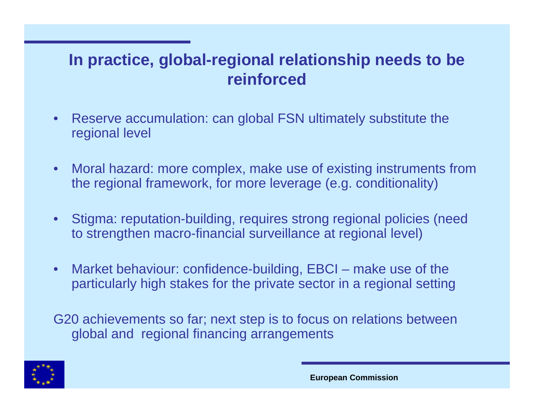### **In practice, global-regional relationship needs to be reinforced**

- $\bullet$  Reserve accumulation: can global FSN ultimately substitute the regional level
- $\bullet$  Moral hazard: more complex, make use of existing instruments from the regional framework, for more leverage (e.g. conditionality)
- $\bullet$  Stigma: reputation-building, requires strong regional policies (need to strengthen macro-financial surveillance at regional level)
- • Market behaviour: confidence-building, EBCI – make use of the particularly high stakes for the private sector in <sup>a</sup> regional setting

G20 achievements so far; next step is to focus on relations between global and regional financing arrangements